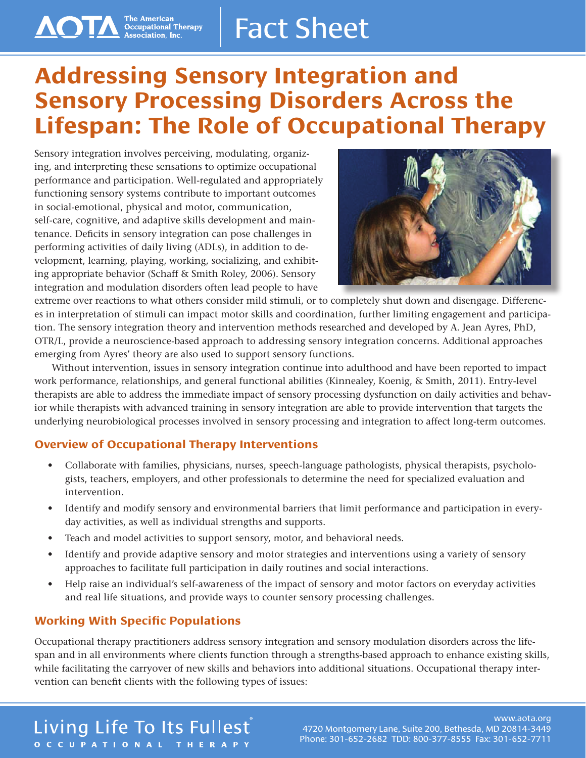# **Addressing Sensory Integration and Sensory Processing Disorders Across the Lifespan: The Role of Occupational Therapy**

Sensory integration involves perceiving, modulating, organizing, and interpreting these sensations to optimize occupational performance and participation. Well-regulated and appropriately functioning sensory systems contribute to important outcomes in social-emotional, physical and motor, communication, self-care, cognitive, and adaptive skills development and maintenance. Deficits in sensory integration can pose challenges in performing activities of daily living (ADLs), in addition to development, learning, playing, working, socializing, and exhibiting appropriate behavior (Schaff & Smith Roley, 2006). Sensory integration and modulation disorders often lead people to have

**AOTA** The American<br>Association, Inc.



extreme over reactions to what others consider mild stimuli, or to completely shut down and disengage. Differences in interpretation of stimuli can impact motor skills and coordination, further limiting engagement and participation. The sensory integration theory and intervention methods researched and developed by A. Jean Ayres, PhD, OTR/L, provide a neuroscience-based approach to addressing sensory integration concerns. Additional approaches emerging from Ayres' theory are also used to support sensory functions.

Without intervention, issues in sensory integration continue into adulthood and have been reported to impact work performance, relationships, and general functional abilities (Kinnealey, Koenig, & Smith, 2011). Entry-level therapists are able to address the immediate impact of sensory processing dysfunction on daily activities and behavior while therapists with advanced training in sensory integration are able to provide intervention that targets the underlying neurobiological processes involved in sensory processing and integration to affect long-term outcomes.

## **Overview of Occupational Therapy Interventions**

- Collaborate with families, physicians, nurses, speech-language pathologists, physical therapists, psychologists, teachers, employers, and other professionals to determine the need for specialized evaluation and intervention.
- Identify and modify sensory and environmental barriers that limit performance and participation in everyday activities, as well as individual strengths and supports.
- Teach and model activities to support sensory, motor, and behavioral needs.
- Identify and provide adaptive sensory and motor strategies and interventions using a variety of sensory approaches to facilitate full participation in daily routines and social interactions.
- Help raise an individual's self-awareness of the impact of sensory and motor factors on everyday activities and real life situations, and provide ways to counter sensory processing challenges.

## **Working With Specific Populations**

Occupational therapy practitioners address sensory integration and sensory modulation disorders across the lifespan and in all environments where clients function through a strengths-based approach to enhance existing skills, while facilitating the carryover of new skills and behaviors into additional situations. Occupational therapy intervention can benefit clients with the following types of issues:

## Living Life To Its Fullest® OCCUPATIONAL THERAPY

#### www.aota.org 4720 Montgomery Lane, Suite 200, Bethesda, MD 20814-3449 Phone: 301-652-2682 TDD: 800-377-8555 Fax: 301-652-7711